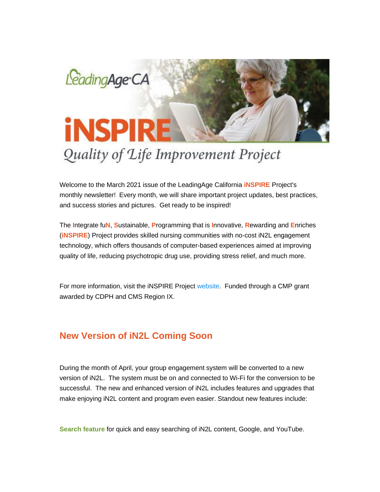

# Quality of Life Improvement Project

Welcome to the March 2021 issue of the LeadingAge California **iNSPIRE** Project's monthly newsletter! Every month, we will share important project updates, best practices, and success stories and pictures. Get ready to be inspired!

The **I**ntegrate fu**N**, **S**ustainable, **P**rogramming that is **I**nnovative, **R**ewarding and **E**nriches (**iNSPIRE**) Project provides skilled nursing communities with no-cost iN2L engagement technology, which offers thousands of computer-based experiences aimed at improving quality of life, reducing psychotropic drug use, providing stress relief, and much more.

For more information, visit the iNSPIRE Project [website.](https://nam11.safelinks.protection.outlook.com/?url=https%3A%2F%2Fu6486279.ct.sendgrid.net%2Fls%2Fclick%3Fupn%3DhxRT-2BaJEwPX7D4KE9buaoAg5Brfv2cN8A5e1JC-2BqxYPD-2BDP8Isd3kVAFaGTmYXsFIOf-2FulD4821JisBPAUKPeQ-3D-3DADi8_ynjBnrLOJw6JesCQaGcSU1U4FraFfNtAbtcdLdsaHlkBDiFVMUz2TmDV3khhnfdiNk2F-2BHi29Spr3KgAvp-2Bxk5fKwV1uOmS0gy7y1pyBYHwW5GqD308dVjuBxWSKNvqSeWCRzmeN-2BWmhWr4FeELnZcKOPZVZ1P8xEndGXRgyouHYIQZDVtyekf1jGRBLwWRqbl4-2B4RrdDpdRowTJHYOYe35gL463cd9KHym8l-2FYqWNGS2Jl5Cf2cJvEM-2FattvIKC-2FbugjsVXSYQhXJ0wqAAWfHHSaNPhD0VLX75j86xfNbjkF-2Bzo1mQZnRas65VVeVOHeGQEhPqEOGrCquOzdzjCjW0zzqHciavyl-2FE9GMsaxfvg-2BZhUvMK3wqst3wSxmH-2BRNrsYBEAJkib-2FVPh98G7TbyGQ9feBavvd1Gl-2FUcbY3LQYrEHZeU6pqPyF3lp8P4guDRb3LPKfMHUWQKfcx50MMA-3D-3D&data=04%7C01%7Cadavidson%40leadingageca.org%7C30922bd661b74438b8db08d8e89c9c29%7C0d860a7502b14b43954fe1205876f72f%7C0%7C0%7C637515106642083524%7CUnknown%7CTWFpbGZsb3d8eyJWIjoiMC4wLjAwMDAiLCJQIjoiV2luMzIiLCJBTiI6Ik1haWwiLCJXVCI6Mn0%3D%7C1000&sdata=spABIe8OQLtlc35SObahQmIUoW4vplAnl3ooGWOS3KU%3D&reserved=0) Funded through a CMP grant awarded by CDPH and CMS Region IX.

### **New Version of iN2L Coming Soon**

During the month of April, your group engagement system will be converted to a new version of iN2L. The system must be on and connected to Wi-Fi for the conversion to be successful. The new and enhanced version of iN2L includes features and upgrades that make enjoying iN2L content and program even easier. Standout new features include:

**Search feature** for quick and easy searching of iN2L content, Google, and YouTube.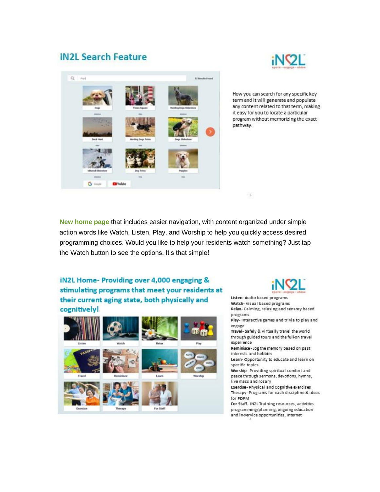## **iN2L Search Feature**





How you can search for any specific key term and it will generate and populate any content related to that term, making it easy for you to locate a particular program without memorizing the exact pathway.

**New home page** that includes easier navigation, with content organized under simple action words like Watch, Listen, Play, and Worship to help you quickly access desired programming choices. Would you like to help your residents watch something? Just tap the Watch button to see the options. It's that simple!

### iN2L Home- Providing over 4,000 engaging & stimulating programs that meet your residents at their current aging state, both physically and cognitively!





Listen- Audio based programs

 $\,$  5  $\,$ 

Watch-Visual based programs Relax- Calming, relaxing and sensory based programs

Play- Interactive games and trivia to play and engage

Travel- Safely & Virtually travel the world through guided tours and the full-on travel experience

Reminisce - Jog the memory based on past interests and hobbies

Learn- Opportunity to educate and learn on specific topics

Worship-Providing spiritual comfort and peace through sermons, devotions, hymns, live mass and rosary

Exercise-Physical and Cognitive exercises Therapy- Programs for each discipline & ideas for PDPM

For Staff-iN2L Training resources, activities programming/planning, ongoing education and in-service opportunities, Internet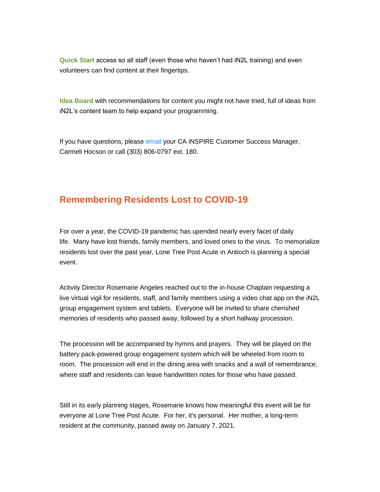**Quick Start** access so all staff (even those who haven't had iN2L training) and even volunteers can find content at their fingertips.

**Idea Board** with recommendations for content you might not have tried, full of ideas from iN2L's content team to help expand your programming.

If you have questions, please [email](mailto:chocson@in2l.com) your CA iNSPIRE Customer Success Manager, Carmeli Hocson or call (303) 806-0797 ext. 180.

### **Remembering Residents Lost to COVID-19**

For over a year, the COVID-19 pandemic has upended nearly every facet of daily life. Many have lost friends, family members, and loved ones to the virus. To memorialize residents lost over the past year, Lone Tree Post Acute in Antioch is planning a special event.

Activity Director Rosemarie Angeles reached out to the in-house Chaplain requesting a live virtual vigil for residents, staff, and family members using a video chat app on the iN2L group engagement system and tablets. Everyone will be invited to share cherished memories of residents who passed away, followed by a short hallway procession.

The procession will be accompanied by hymns and prayers. They will be played on the battery pack-powered group engagement system which will be wheeled from room to room. The procession will end in the dining area with snacks and a wall of remembrance, where staff and residents can leave handwritten notes for those who have passed.

Still in its early planning stages, Rosemarie knows how meaningful this event will be for everyone at Lone Tree Post Acute. For her, it's personal. Her mother, a long-term resident at the community, passed away on January 7, 2021.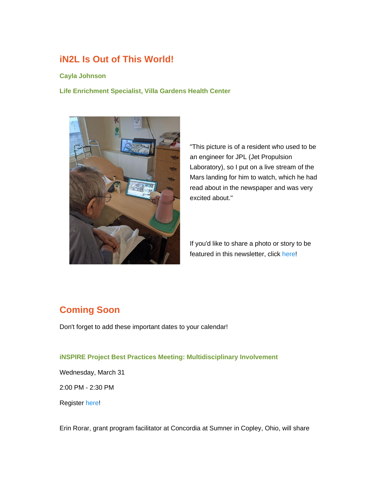# **iN2L Is Out of This World!**

#### **Cayla Johnson**

**Life Enrichment Specialist, Villa Gardens Health Center**



"This picture is of a resident who used to be an engineer for JPL (Jet Propulsion Laboratory), so I put on a live stream of the Mars landing for him to watch, which he had read about in the newspaper and was very excited about."

If you'd like to share a photo or story to be featured in this newsletter, click [here!](mailto:adavidson@leadingageca.org)

# **Coming Soon**

Don't forget to add these important dates to your calendar!

#### **iNSPIRE Project Best Practices Meeting: Multidisciplinary Involvement**

Wednesday, March 31

2:00 PM - 2:30 PM

Register [here!](https://nam11.safelinks.protection.outlook.com/?url=https%3A%2F%2Fu6486279.ct.sendgrid.net%2Fls%2Fclick%3Fupn%3DhxRT-2BaJEwPX7D4KE9buaoCchsGRNXq2qcKbO-2BVYpr58uBJTuc-2F9sl0g67G2YXp2rupT1g2NC2zESbTgcGArq-2B8tr1ND9T-2BAQZi-2BMv8nkves-3Db8-v_ynjBnrLOJw6JesCQaGcSU1U4FraFfNtAbtcdLdsaHlkBDiFVMUz2TmDV3khhnfdiNk2F-2BHi29Spr3KgAvp-2Bxk5fKwV1uOmS0gy7y1pyBYHwW5GqD308dVjuBxWSKNvqSeWCRzmeN-2BWmhWr4FeELnZcKOPZVZ1P8xEndGXRgyouHYIQZDVtyekf1jGRBLwWRqbl4-2B4RrdDpdRowTJHYOYe35gL463cd9KHym8l-2FYqWNGS2Jl5Cf2cJvEM-2FattvIKC69R1Ira1uX4pUE5hIdWadrX48Dx0dqICOqtHQBo60FPPhlpvBPlkjHiMs8sGyU07397Ly5TSdbAglrY34RqRpyBYZ7-2B2EpF-2FfqwGTfX-2FqOfKThF8h0Yd-2BYCLaCa6rAQcreIiaX8WaMF03TFT-2BLAxbmPWv-2B5uiVOO1BpeWIkTy0-2BymYWrp6PXq1lQbr0EmeBRu0GzEf8mROieRZQ-2BeQUL4Q-3D-3D&data=04%7C01%7Cadavidson%40leadingageca.org%7C30922bd661b74438b8db08d8e89c9c29%7C0d860a7502b14b43954fe1205876f72f%7C0%7C0%7C637515106642093519%7CUnknown%7CTWFpbGZsb3d8eyJWIjoiMC4wLjAwMDAiLCJQIjoiV2luMzIiLCJBTiI6Ik1haWwiLCJXVCI6Mn0%3D%7C1000&sdata=i5SSAOXLk8a5QWiVQq032BOLvHoiijNUq%2FOz63K92UU%3D&reserved=0)

Erin Rorar, grant program facilitator at Concordia at Sumner in Copley, Ohio, will share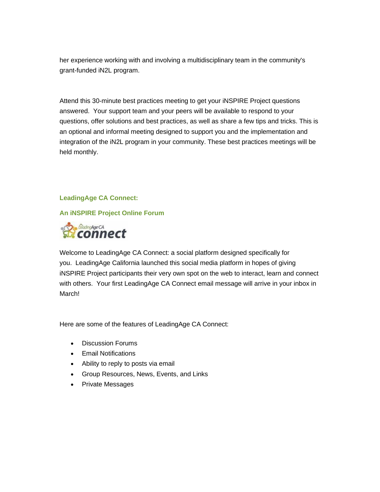her experience working with and involving a multidisciplinary team in the community's grant-funded iN2L program.

Attend this 30-minute best practices meeting to get your iNSPIRE Project questions answered. Your support team and your peers will be available to respond to your questions, offer solutions and best practices, as well as share a few tips and tricks. This is an optional and informal meeting designed to support you and the implementation and integration of the iN2L program in your community. These best practices meetings will be held monthly.

### **LeadingAge CA Connect:**

### **An iNSPIRE Project Online Forum**



Welcome to LeadingAge CA Connect: a social platform designed specifically for you. LeadingAge California launched this social media platform in hopes of giving iNSPIRE Project participants their very own spot on the web to interact, learn and connect with others. Your first LeadingAge CA Connect email message will arrive in your inbox in March!

Here are some of the features of LeadingAge CA Connect:

- Discussion Forums
- Email Notifications
- Ability to reply to posts via email
- Group Resources, News, Events, and Links
- Private Messages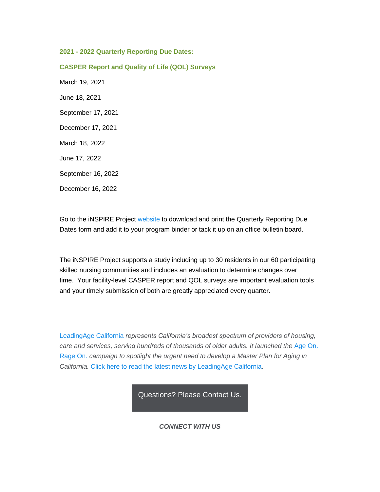**2021 - 2022 Quarterly Reporting Due Dates:**

**CASPER Report and Quality of Life (QOL) Surveys** March 19, 2021 June 18, 2021 September 17, 2021 December 17, 2021 March 18, 2022 June 17, 2022 September 16, 2022 December 16, 2022

Go to the iNSPIRE Project [website](https://nam11.safelinks.protection.outlook.com/?url=https%3A%2F%2Fu6486279.ct.sendgrid.net%2Fls%2Fclick%3Fupn%3DhxRT-2BaJEwPX7D4KE9buaoAg5Brfv2cN8A5e1JC-2BqxYPD-2BDP8Isd3kVAFaGTmYXsFIOf-2FulD4821JisBPAUKPeQ-3D-3Dri1o_ynjBnrLOJw6JesCQaGcSU1U4FraFfNtAbtcdLdsaHlkBDiFVMUz2TmDV3khhnfdiNk2F-2BHi29Spr3KgAvp-2Bxk5fKwV1uOmS0gy7y1pyBYHwW5GqD308dVjuBxWSKNvqSeWCRzmeN-2BWmhWr4FeELnZcKOPZVZ1P8xEndGXRgyouHYIQZDVtyekf1jGRBLwWRqbl4-2B4RrdDpdRowTJHYOYe35gL463cd9KHym8l-2FYqWNGS2Jl5Cf2cJvEM-2FattvIKC2nqMoVUIcRR-2FFajbDoIOW3HTvUQCSdR4qxVth-2FxY3RgJr7HJWMYsxEszAjXvssftAEFSPIdYXB10ImetGW9E2BJxPoBI4RYojpP7Ex1qnu-2BCTRCmALHq7Iim1TYLDF0C-2FXL5Lt4b82CJrDUWjtytbukHpTvXwH1ALE6p-2FsBCD3QOICNhVWr2ufvNfiV9a03OvIQGpJqYrfSQh4AK0kMBLg-3D-3D&data=04%7C01%7Cadavidson%40leadingageca.org%7C30922bd661b74438b8db08d8e89c9c29%7C0d860a7502b14b43954fe1205876f72f%7C0%7C0%7C637515106642093519%7CUnknown%7CTWFpbGZsb3d8eyJWIjoiMC4wLjAwMDAiLCJQIjoiV2luMzIiLCJBTiI6Ik1haWwiLCJXVCI6Mn0%3D%7C1000&sdata=h7Nfln5bjvT%2FuHE59SEB%2FJ8E0eNlLP%2FObueyBn7B2w4%3D&reserved=0) to download and print the Quarterly Reporting Due Dates form and add it to your program binder or tack it up on an office bulletin board.

The iNSPIRE Project supports a study including up to 30 residents in our 60 participating skilled nursing communities and includes an evaluation to determine changes over time. Your facility-level CASPER report and QOL surveys are important evaluation tools and your timely submission of both are greatly appreciated every quarter.

[LeadingAge California](https://nam11.safelinks.protection.outlook.com/?url=https%3A%2F%2Fu6486279.ct.sendgrid.net%2Fls%2Fclick%3Fupn%3DhxRT-2BaJEwPX7D4KE9buaoAg5Brfv2cN8A5e1JC-2BqxYPurxDFWtnY8E4UK4UNFOfob93c_ynjBnrLOJw6JesCQaGcSU1U4FraFfNtAbtcdLdsaHlkBDiFVMUz2TmDV3khhnfdiNk2F-2BHi29Spr3KgAvp-2Bxk5fKwV1uOmS0gy7y1pyBYHwW5GqD308dVjuBxWSKNvqSeWCRzmeN-2BWmhWr4FeELnZcKOPZVZ1P8xEndGXRgyouHYIQZDVtyekf1jGRBLwWRqbl4-2B4RrdDpdRowTJHYOYe35gL463cd9KHym8l-2FYqWNGS2Jl5Cf2cJvEM-2FattvIKCeP3aqzMiQHv1OGLugh2nL5xyDURpQ-2FsAVHA31wchwUogZvsvsaMGHUcO4Lb5qITv5EPoDceb1gOhA7hG2MwBtfLNZaVidJ6X-2BILyE65LdoDdwVl0oFZrIDOP4x89pBfkSOOnBHhDRC2HJobBRACOK3vWEcQR7EQmnxXpzY67VTux9KFK4Vuul7lloJ-2B8q7Vxd77Z9zMDSH-2BkR0FQy4XWaA-3D-3D&data=04%7C01%7Cadavidson%40leadingageca.org%7C30922bd661b74438b8db08d8e89c9c29%7C0d860a7502b14b43954fe1205876f72f%7C0%7C0%7C637515106642103511%7CUnknown%7CTWFpbGZsb3d8eyJWIjoiMC4wLjAwMDAiLCJQIjoiV2luMzIiLCJBTiI6Ik1haWwiLCJXVCI6Mn0%3D%7C1000&sdata=Bg%2B%2BguFPplzV0iRptZeSJI%2F9MUmAQq2xIbA5wxs6xPA%3D&reserved=0) *represents California's broadest spectrum of providers of housing, care and services, serving hundreds of thousands of older adults. It launched the* [Age On.](https://nam11.safelinks.protection.outlook.com/?url=https%3A%2F%2Fu6486279.ct.sendgrid.net%2Fls%2Fclick%3Fupn%3DhxRT-2BaJEwPX7D4KE9buaoA2y8W06VaZ4TPuEk8APOYUYXRuDi19Ve-2FwKB2vqa-2F92Q2ea_ynjBnrLOJw6JesCQaGcSU1U4FraFfNtAbtcdLdsaHlkBDiFVMUz2TmDV3khhnfdiNk2F-2BHi29Spr3KgAvp-2Bxk5fKwV1uOmS0gy7y1pyBYHwW5GqD308dVjuBxWSKNvqSeWCRzmeN-2BWmhWr4FeELnZcKOPZVZ1P8xEndGXRgyouHYIQZDVtyekf1jGRBLwWRqbl4-2B4RrdDpdRowTJHYOYe35gL463cd9KHym8l-2FYqWNGS2Jl5Cf2cJvEM-2FattvIKCby3f87eDmFLvdzXAAA5wsiG51dQg513-2BfnmnlNT1e99ciIR0Btcc3hsaS6M4P7HGm1oGSNz3EQgEcGWWsMtOYPils9UHRZpq0tMqhvjAucK4GGwEAYvJFSi9psDJc8JY75EQh8nCjy45W5MqWR0Y1Er2TG1Qot3C9FXKKM3-2FwLs-2Bn-2Fodlw4ApOWKkYyCdJz44rYufEoW4bNs0WAOwsbg3g-3D-3D&data=04%7C01%7Cadavidson%40leadingageca.org%7C30922bd661b74438b8db08d8e89c9c29%7C0d860a7502b14b43954fe1205876f72f%7C0%7C0%7C637515106642103511%7CUnknown%7CTWFpbGZsb3d8eyJWIjoiMC4wLjAwMDAiLCJQIjoiV2luMzIiLCJBTiI6Ik1haWwiLCJXVCI6Mn0%3D%7C1000&sdata=eqh4TF1ogsKqJqU8j7KnLXzE%2Fx00O%2BR9Z%2BtpbSfY1Lw%3D&reserved=0)  [Rage On.](https://nam11.safelinks.protection.outlook.com/?url=https%3A%2F%2Fu6486279.ct.sendgrid.net%2Fls%2Fclick%3Fupn%3DhxRT-2BaJEwPX7D4KE9buaoA2y8W06VaZ4TPuEk8APOYUYXRuDi19Ve-2FwKB2vqa-2F92Q2ea_ynjBnrLOJw6JesCQaGcSU1U4FraFfNtAbtcdLdsaHlkBDiFVMUz2TmDV3khhnfdiNk2F-2BHi29Spr3KgAvp-2Bxk5fKwV1uOmS0gy7y1pyBYHwW5GqD308dVjuBxWSKNvqSeWCRzmeN-2BWmhWr4FeELnZcKOPZVZ1P8xEndGXRgyouHYIQZDVtyekf1jGRBLwWRqbl4-2B4RrdDpdRowTJHYOYe35gL463cd9KHym8l-2FYqWNGS2Jl5Cf2cJvEM-2FattvIKCby3f87eDmFLvdzXAAA5wsiG51dQg513-2BfnmnlNT1e99ciIR0Btcc3hsaS6M4P7HGm1oGSNz3EQgEcGWWsMtOYPils9UHRZpq0tMqhvjAucK4GGwEAYvJFSi9psDJc8JY75EQh8nCjy45W5MqWR0Y1Er2TG1Qot3C9FXKKM3-2FwLs-2Bn-2Fodlw4ApOWKkYyCdJz44rYufEoW4bNs0WAOwsbg3g-3D-3D&data=04%7C01%7Cadavidson%40leadingageca.org%7C30922bd661b74438b8db08d8e89c9c29%7C0d860a7502b14b43954fe1205876f72f%7C0%7C0%7C637515106642103511%7CUnknown%7CTWFpbGZsb3d8eyJWIjoiMC4wLjAwMDAiLCJQIjoiV2luMzIiLCJBTiI6Ik1haWwiLCJXVCI6Mn0%3D%7C1000&sdata=eqh4TF1ogsKqJqU8j7KnLXzE%2Fx00O%2BR9Z%2BtpbSfY1Lw%3D&reserved=0) *campaign to spotlight the urgent need to develop a Master Plan for Aging in California.* [Click here to read the latest news by LeadingAge California](https://nam11.safelinks.protection.outlook.com/?url=https%3A%2F%2Fu6486279.ct.sendgrid.net%2Fls%2Fclick%3Fupn%3DuNmKhq9gevVC9XA2GDvt5EDdiY25nnAGiG4JngFA-2FBXZYL3fVNy3Fumqk-2B4QoGlf3e2P_ynjBnrLOJw6JesCQaGcSU1U4FraFfNtAbtcdLdsaHlkBDiFVMUz2TmDV3khhnfdiNk2F-2BHi29Spr3KgAvp-2Bxk5fKwV1uOmS0gy7y1pyBYHwW5GqD308dVjuBxWSKNvqSeWCRzmeN-2BWmhWr4FeELnZcKOPZVZ1P8xEndGXRgyouHYIQZDVtyekf1jGRBLwWRqbl4-2B4RrdDpdRowTJHYOYe35gL463cd9KHym8l-2FYqWNGS2Jl5Cf2cJvEM-2FattvIKCsagFrfi-2FKnTshsUx8L7-2BQCYsygw2hkAghIq1vmFUdOC-2FUsqdQ1-2BpkmuYMha4C56j0kkSEN-2B2B27n-2FaV-2BFKod2y0af-2FyaQGg4SQ8lnO10YnqypHXeM-2FqsFIghsLYAfuLCDV7wTDD9sc5FJ58zD9Q1e7F9ejMrwTjxdqFdH1pFJ71uIzgbkOfBG-2Bx4b-2Bv-2BkpBi4ES4GeSOpGp9eetoZD0U4A-3D-3D&data=04%7C01%7Cadavidson%40leadingageca.org%7C30922bd661b74438b8db08d8e89c9c29%7C0d860a7502b14b43954fe1205876f72f%7C0%7C0%7C637515106642113511%7CUnknown%7CTWFpbGZsb3d8eyJWIjoiMC4wLjAwMDAiLCJQIjoiV2luMzIiLCJBTiI6Ik1haWwiLCJXVCI6Mn0%3D%7C1000&sdata=e1HpF34l0Cc1b93TD5UvyDMeMhgZKJ9WKl%2F5man2cLs%3D&reserved=0)*.*

[Questions?](mailto:info@leadingageca.org) Please Contact Us.

*CONNECT WITH US*